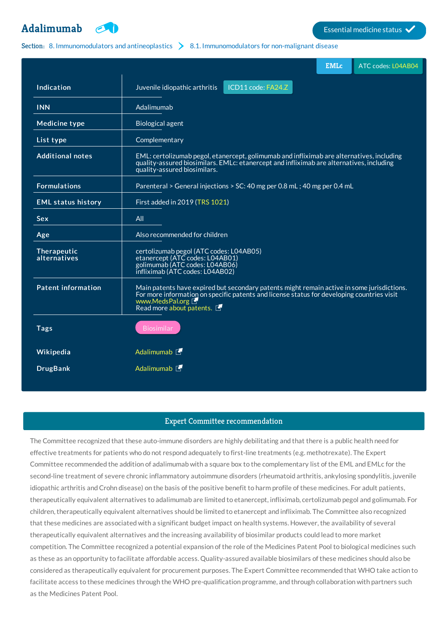

# Section: 8. [Immunomodulators](http://list.essentialmeds.org/?section=375) and antineoplastics  $\sum_{n=1}^{\infty}$  8.1. Immunomodulators for non-malignant disease

|                             |                                                                                                                                                                                                                                         | <b>EMLc</b> | ATC codes: L04AB04 |
|-----------------------------|-----------------------------------------------------------------------------------------------------------------------------------------------------------------------------------------------------------------------------------------|-------------|--------------------|
| Indication                  | Juvenile idiopathic arthritis<br>ICD11 code: FA24.Z                                                                                                                                                                                     |             |                    |
| <b>INN</b>                  | Adalimumab                                                                                                                                                                                                                              |             |                    |
| <b>Medicine type</b>        | <b>Biological agent</b>                                                                                                                                                                                                                 |             |                    |
| List type                   | Complementary                                                                                                                                                                                                                           |             |                    |
| <b>Additional notes</b>     | EML: certolizumab pegol, etanercept, golimumab and infliximab are alternatives, including<br>quality-assured biosimilars. EMLc: etanercept and infliximab are alternatives, including<br>quality-assured biosimilars.                   |             |                    |
| <b>Formulations</b>         | Parenteral > General injections > SC: 40 mg per 0.8 mL; 40 mg per 0.4 mL                                                                                                                                                                |             |                    |
| <b>EML</b> status history   | First added in 2019 (TRS 1021)                                                                                                                                                                                                          |             |                    |
| <b>Sex</b>                  | All                                                                                                                                                                                                                                     |             |                    |
| Age                         | Also recommended for children                                                                                                                                                                                                           |             |                    |
| Therapeutic<br>alternatives | certolizumab pegol (ATC codes: L04AB05)<br>etanercept (ATC codes: L04AB01)<br>golimumab (ATC codes: L04AB06)<br>infliximab (ATC codes: L04AB02)                                                                                         |             |                    |
| <b>Patent information</b>   | Main patents have expired but secondary patents might remain active in some jurisdictions.<br>For more information on specific patents and license status for developing countries visit<br>www.MedsPal.org<br>Read more about patents. |             |                    |
| <b>Tags</b>                 | <b>Biosimilar</b>                                                                                                                                                                                                                       |             |                    |
| Wikipedia                   | Adalimumab <sup>[1]</sup>                                                                                                                                                                                                               |             |                    |
| <b>DrugBank</b>             | Adalimumab <sup>[1]</sup>                                                                                                                                                                                                               |             |                    |

## Expert Committee recommendation

The Committee recognized that these auto-immune disorders are highly debilitating and that there is a public health need for effective treatments for patients who do not respond adequately to first-line treatments (e.g. methotrexate). The Expert Committee recommended the addition of adalimumab with a square box to the complementary list of the EML and EMLc for the second-line treatment of severe chronic inflammatory autoimmune disorders (rheumatoid arthritis, ankylosing spondylitis, juvenile idiopathic arthritis and Crohn disease) on the basis of the positive benefit to harm profile of these medicines. For adult patients, therapeutically equivalent alternatives to adalimumab are limited to etanercept, infliximab, certolizumab pegol and golimumab. For children, therapeutically equivalent alternatives should be limited to etanercept and infliximab. The Committee also recognized that these medicines are associated with a significant budget impact on health systems. However, the availability of several therapeutically equivalent alternatives and the increasing availability of biosimilar products could lead to more market competition. The Committee recognized a potential expansion of the role of the Medicines Patent Pool to biological medicines such as these as an opportunity to facilitate affordable access. Quality-assured available biosimilars of these medicines should also be considered as therapeutically equivalent for procurement purposes. The Expert Committee recommended that WHO take action to facilitate access to these medicines through the WHO pre-qualification programme, and through collaboration with partners such as the Medicines Patent Pool.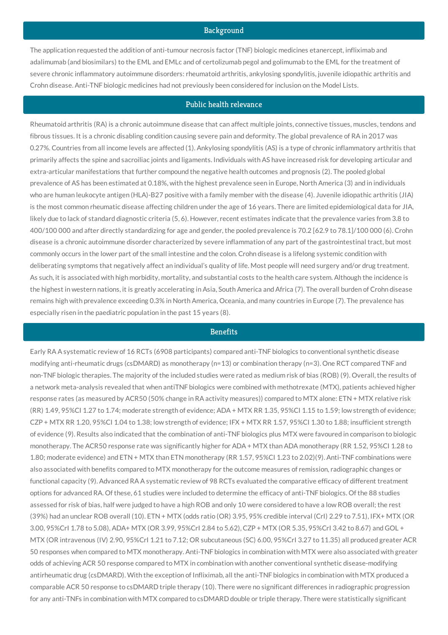### Background

The application requested the addition of anti-tumour necrosis factor (TNF) biologic medicines etanercept, infliximab and adalimumab (and biosimilars) to the EML and EMLc and of certolizumab pegol and golimumab to the EML for the treatment of severe chronic inflammatory autoimmune disorders: rheumatoid arthritis, ankylosing spondylitis, juvenile idiopathic arthritis and Crohn disease. Anti-TNF biologic medicines had not previously been considered for inclusion on the Model Lists.

# Public health relevance

Rheumatoid arthritis (RA) is a chronic autoimmune disease that can affect multiple joints, connective tissues, muscles, tendons and fibrous tissues. It is a chronic disabling condition causing severe pain and deformity. The global prevalence of RA in 2017 was 0.27%. Countries from all income levels are affected (1). Ankylosing spondylitis (AS) is a type of chronic inflammatory arthritis that primarily affects the spine and sacroiliac joints and ligaments. Individuals with AS have increased risk for developing articular and extra-articular manifestations that further compound the negative health outcomes and prognosis (2). The pooled global prevalence of AS has been estimated at 0.18%, with the highest prevalence seen in Europe, North America (3) and in individuals who are human leukocyte antigen (HLA)-B27 positive with a family member with the disease (4). Juvenile idiopathic arthritis (JIA) is the most common rheumatic disease affecting children under the age of 16 years. There are limited epidemiological data for JIA, likely due to lack of standard diagnostic criteria (5, 6). However, recent estimates indicate that the prevalence varies from 3.8 to 400/100 000 and after directly standardizing for age and gender, the pooled prevalence is 70.2 [62.9 to 78.1]/100 000 (6). Crohn disease is a chronic autoimmune disorder characterized by severe inflammation of any part of the gastrointestinal tract, but most commonly occurs in the lower part of the small intestine and the colon. Crohn disease is a lifelong systemic condition with deliberating symptoms that negatively affect an individual's quality of life. Most people will need surgery and/or drug treatment. As such, it is associated with high morbidity, mortality, and substantial costs to the health care system. Although the incidence is the highest in western nations, it is greatly accelerating in Asia, South America and Africa (7). The overall burden of Crohn disease remains high with prevalence exceeding 0.3% in North America, Oceania, and many countries in Europe (7). The prevalence has especially risen in the paediatric population in the past 15 years (8).

### **Benefits**

Early RA A systematic review of 16 RCTs (6908 participants) compared anti-TNF biologics to conventional synthetic disease modifying anti-rheumatic drugs (csDMARD) as monotherapy (n=13) or combination therapy (n=3). One RCT compared TNF and non-TNF biologic therapies. The majority of the included studies were rated as medium risk of bias (ROB) (9). Overall, the results of a network meta-analysis revealed that when antiTNF biologics were combined with methotrexate (MTX), patients achieved higher response rates (as measured by ACR50 (50% change in RA activity measures)) compared to MTX alone: ETN + MTX relative risk (RR) 1.49, 95%CI 1.27 to 1.74; moderate strength of evidence; ADA + MTX RR 1.35, 95%CI 1.15 to 1.59; low strength of evidence; CZP + MTX RR 1.20, 95%CI 1.04 to 1.38; low strength of evidence; IFX + MTX RR 1.57, 95%CI 1.30 to 1.88; insufficient strength of evidence (9). Results also indicated that the combination of anti-TNF biologics plus MTX were favoured in comparison to biologic monotherapy. The ACR50 response rate was significantly higher for ADA + MTX than ADA monotherapy (RR 1.52, 95%CI 1.28 to 1.80; moderate evidence) and ETN + MTX than ETN monotherapy (RR 1.57, 95%CI 1.23 to 2.02)(9). Anti-TNF combinations were also associated with benefits compared to MTX monotherapy for the outcome measures of remission, radiographic changes or functional capacity (9). Advanced RA A systematic review of 98 RCTs evaluated the comparative efficacy of different treatment options for advanced RA. Of these, 61 studies were included to determine the efficacy of anti-TNF biologics. Of the 88 studies assessed for risk of bias, half were judged to have a high ROB and only 10 were considered to have a low ROB overall; the rest (39%) had an unclear ROB overall (10). ETN + MTX (odds ratio (OR) 3.95, 95% credible interval (CrI) 2.29 to 7.51), IFX+ MTX (OR 3.00, 95%CrI 1.78 to 5.08), ADA+ MTX (OR 3.99, 95%CrI 2.84 to 5.62), CZP + MTX (OR 5.35, 95%CrI 3.42 to 8.67) and GOL + MTX (OR intravenous (IV) 2.90, 95%CrI 1.21 to 7.12; OR subcutaneous (SC) 6.00, 95%CrI 3.27 to 11.35) all produced greater ACR 50 responses when compared to MTX monotherapy. Anti-TNF biologics in combination with MTX were also associated with greater odds of achieving ACR 50 response compared to MTX in combination with another conventional synthetic disease-modifying antirheumatic drug (csDMARD). With the exception of Infliximab, all the anti-TNF biologics in combination with MTX produced a comparable ACR 50 response to csDMARD triple therapy (10). There were no significant differences in radiographic progression for any anti-TNFs in combination with MTX compared to csDMARD double or triple therapy. There were statistically significant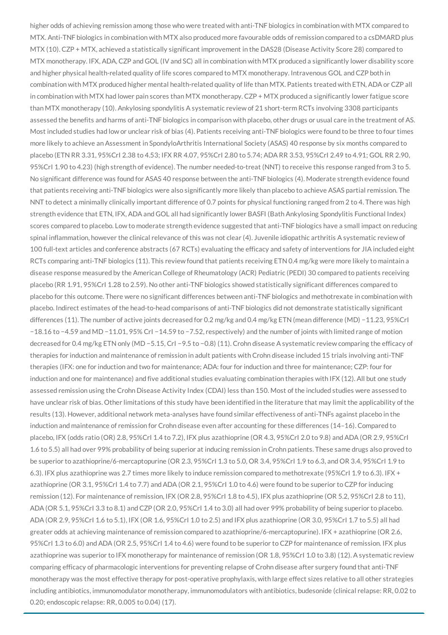higher odds of achieving remission among those who were treated with anti-TNF biologics in combination with MTX compared to MTX. Anti-TNF biologics in combination with MTX also produced more favourable odds of remission compared to a csDMARD plus MTX (10). CZP + MTX, achieved a statistically significant improvement in the DAS28 (Disease Activity Score 28) compared to MTX monotherapy. IFX, ADA, CZP and GOL (IV and SC) all in combination with MTX produced a significantly lower disability score and higher physical health-related quality of life scores compared to MTX monotherapy. Intravenous GOL and CZP both in combination with MTX produced higher mental health-related quality of life than MTX. Patients treated with ETN, ADA or CZP all in combination with MTX had lower pain scores than MTX monotherapy. CZP + MTX produced a significantly lower fatigue score than MTX monotherapy (10). Ankylosing spondylitis A systematic review of 21 short-term RCTs involving 3308 participants assessed the benefits and harms of anti-TNF biologics in comparison with placebo, other drugs or usual care in the treatment of AS. Most included studies had low or unclear risk of bias (4). Patients receiving anti-TNF biologics were found to be three to four times more likely to achieve an Assessment in SpondyloArthritis International Society (ASAS) 40 response by six months compared to placebo (ETN RR 3.31, 95%CrI 2.38 to 4.53; IFX RR 4.07, 95%CrI 2.80 to 5.74; ADA RR 3.53, 95%CrI 2.49 to 4.91; GOL RR 2.90, 95%CrI 1.90 to 4.23) (high strength of evidence). The number needed-to-treat (NNT) to receive this response ranged from 3 to 5. No significant difference was found for ASAS 40 response between the anti-TNF biologics (4). Moderate strength evidence found that patients receiving anti-TNF biologics were also significantly more likely than placebo to achieve ASAS partial remission. The NNT to detect a minimally clinically important difference of 0.7 points for physical functioning ranged from 2 to 4. There was high strength evidence that ETN, IFX, ADA and GOL all had significantly lower BASFI (Bath Ankylosing Spondylitis Functional Index) scores compared to placebo. Low to moderate strength evidence suggested that anti-TNF biologics have a small impact on reducing spinal inflammation, however the clinical relevance of this was not clear (4). Juvenile idiopathic arthritis A systematic review of 100 full-text articles and conference abstracts (67 RCTs) evaluating the efficacy and safety of interventions for JIA included eight RCTs comparing anti-TNF biologics (11). This review found that patients receiving ETN 0.4 mg/kg were more likely to maintain a disease response measured by the American College of Rheumatology (ACR) Pediatric (PEDI) 30 compared to patients receiving placebo (RR 1.91, 95%CrI 1.28 to 2.59). No other anti-TNF biologics showed statistically significant differences compared to placebo for this outcome. There were no significant differences between anti-TNF biologics and methotrexate in combination with placebo. Indirect estimates of the head-to-head comparisons of anti-TNF biologics did not demonstrate statistically significant differences (11). The number of active joints decreased for 0.2 mg/kg and 0.4 mg/kg ETN (mean difference (MD) −11.23, 95%CrI −18.16 to −4.59 and MD −11.01, 95% CrI −14.59 to −7.52, respectively) and the number of joints with limited range of motion decreased for 0.4 mg/kg ETN only (MD −5.15, CrI −9.5 to −0.8) (11). Crohn disease A systematic review comparing the efficacy of therapies for induction and maintenance of remission in adult patients with Crohn disease included 15 trials involving anti-TNF therapies (IFX: one for induction and two for maintenance; ADA: four for induction and three for maintenance; CZP: four for induction and one for maintenance) and five additional studies evaluating combination therapies with IFX (12). All but one study assessed remission using the Crohn Disease Activity Index (CDAI) less than 150. Most of the included studies were assessed to have unclear risk of bias. Other limitations of this study have been identified in the literature that may limit the applicability of the results (13). However, additional network meta-analyses have found similar effectiveness of anti-TNFs against placebo in the induction and maintenance of remission for Crohn disease even after accounting for these differences (14–16). Compared to placebo, IFX (odds ratio (OR) 2.8, 95%CrI 1.4 to 7.2), IFX plus azathioprine (OR 4.3, 95%CrI 2.0 to 9.8) and ADA (OR 2.9, 95%CrI 1.6 to 5.5) all had over 99% probability of being superior at inducing remission in Crohn patients. These same drugs also proved to be superior to azathioprine/6-mercaptopurine (OR 2.3, 95%CrI 1.3 to 5.0, OR 3.4, 95%CrI 1.9 to 6.3, and OR 3.4, 95%CrI 1.9 to 6.3). IFX plus azathioprine was 2.7 times more likely to induce remission compared to methotrexate (95%CrI 1.9 to 6.3). IFX + azathioprine (OR 3.1, 95%CrI 1.4 to 7.7) and ADA (OR 2.1, 95%CrI 1.0 to 4.6) were found to be superior to CZP for inducing remission (12). For maintenance of remission, IFX (OR 2.8, 95%CrI 1.8 to 4.5), IFX plus azathioprine (OR 5.2, 95%CrI 2.8 to 11), ADA (OR 5.1, 95%CrI 3.3 to 8.1) and CZP (OR 2.0, 95%CrI 1.4 to 3.0) all had over 99% probability of being superior to placebo. ADA (OR 2.9, 95%CrI 1.6 to 5.1), IFX (OR 1.6, 95%CrI 1.0 to 2.5) and IFX plus azathioprine (OR 3.0, 95%CrI 1.7 to 5.5) all had greater odds at achieving maintenance of remission compared to azathioprine/6-mercaptopurine). IFX + azathioprine (OR 2.6, 95%CrI 1.3 to 6.0) and ADA (OR 2.5, 95%CrI 1.4 to 4.6) were found to be superior to CZP for maintenance of remission. IFX plus azathioprine was superior to IFX monotherapy for maintenance of remission (OR 1.8, 95%CrI 1.0 to 3.8) (12). A systematic review comparing efficacy of pharmacologic interventions for preventing relapse of Crohn disease after surgery found that anti-TNF monotherapy was the most effective therapy for post-operative prophylaxis, with large effect sizes relative to all other strategies including antibiotics, immunomodulator monotherapy, immunomodulators with antibiotics, budesonide (clinical relapse: RR, 0.02 to 0.20; endoscopic relapse: RR, 0.005 to 0.04) (17).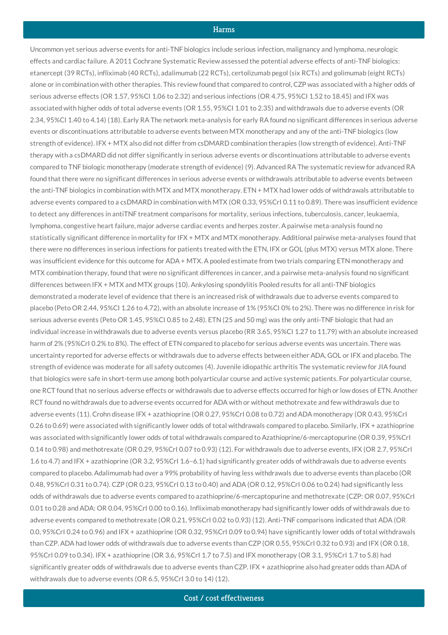## **Harms**

Uncommon yet serious adverse events for anti-TNF biologics include serious infection, malignancy and lymphoma, neurologic effects and cardiac failure. A 2011 Cochrane Systematic Review assessed the potential adverse effects of anti-TNF biologics: etanercept (39 RCTs), infliximab (40 RCTs), adalimumab (22 RCTs), certolizumab pegol (six RCTs) and golimumab (eight RCTs) alone or in combination with other therapies. This review found that compared to control, CZP was associated with a higher odds of serious adverse effects (OR 1.57, 95%CI 1.06 to 2.32) and serious infections (OR 4.75, 95%CI 1.52 to 18.45) and IFX was associated with higher odds of total adverse events (OR 1.55, 95%CI 1.01 to 2.35) and withdrawals due to adverse events (OR 2.34, 95%CI 1.40 to 4.14) (18). Early RA The network meta-analysis for early RA found no significant differences in serious adverse events or discontinuations attributable to adverse events between MTX monotherapy and any of the anti-TNF biologics (low strength of evidence). IFX + MTX also did not differ from csDMARD combination therapies (low strength of evidence). Anti-TNF therapy with a csDMARD did not differ significantly in serious adverse events or discontinuations attributable to adverse events compared to TNF biologic monotherapy (moderate strength of evidence) (9). Advanced RA The systematic review for advanced RA found that there were no significant differences in serious adverse events or withdrawals attributable to adverse events between the anti-TNF biologics in combination with MTX and MTX monotherapy. ETN + MTX had lower odds of withdrawals attributable to adverse events compared to a csDMARD in combination with MTX (OR 0.33, 95%CrI 0.11 to 0.89). There was insufficient evidence to detect any differences in antiTNF treatment comparisons for mortality, serious infections, tuberculosis, cancer, leukaemia, lymphoma, congestive heart failure, major adverse cardiac events and herpes zoster. A pairwise meta-analysis found no statistically significant difference in mortality for IFX + MTX and MTX monotherapy. Additional pairwise meta-analyses found that there were no differences in serious infections for patients treated with the ETN, IFX or GOL (plus MTX) versus MTX alone. There was insufficient evidence for this outcome for ADA + MTX. A pooled estimate from two trials comparing ETN monotherapy and MTX combination therapy, found that were no significant differences in cancer, and a pairwise meta-analysis found no significant differences between IFX + MTX and MTX groups (10). Ankylosing spondylitis Pooled results for all anti-TNF biologics demonstrated a moderate level of evidence that there is an increased risk of withdrawals due to adverse events compared to placebo (Peto OR 2.44, 95%CI 1.26 to 4.72), with an absolute increase of 1% (95%CI 0% to 2%). There was no difference in risk for serious adverse events (Peto OR 1.45, 95%CI 0.85 to 2.48). ETN (25 and 50 mg) was the only anti-TNF biologic that had an individual increase in withdrawals due to adverse events versus placebo (RR 3.65, 95%CI 1.27 to 11.79) with an absolute increased harm of 2% (95%CrI 0.2% to 8%). The effect of ETN compared to placebo for serious adverse events was uncertain. There was uncertainty reported for adverse effects or withdrawals due to adverse effects between either ADA, GOL or IFX and placebo. The strength of evidence was moderate for all safety outcomes (4). Juvenile idiopathic arthritis The systematic review for JIA found that biologics were safe in short-term use among both polyarticular course and active systemic patients. For polyarticular course, one RCT found that no serious adverse effects or withdrawals due to adverse effects occurred for high or low doses of ETN. Another RCT found no withdrawals due to adverse events occurred for ADA with or without methotrexate and few withdrawals due to adverse events (11). Crohn disease IFX + azathioprine (OR 0.27, 95%CrI 0.08 to 0.72) and ADA monotherapy (OR 0.43, 95%CrI 0.26 to 0.69) were associated with significantly lower odds of total withdrawals compared to placebo. Similarly, IFX + azathioprine was associated with significantly lower odds of total withdrawals compared to Azathioprine/6-mercaptopurine (OR 0.39, 95%CrI 0.14 to 0.98) and methotrexate (OR 0.29, 95%CrI 0.07 to 0.93) (12). For withdrawals due to adverse events, IFX (OR 2.7, 95%CrI 1.6 to 4.7) and IFX + azathioprine (OR 3.2, 95%CrI 1.6–6.1) had significantly greater odds of withdrawals due to adverse events compared to placebo. Adalimumab had over a 99% probability of having less withdrawals due to adverse events than placebo (OR 0.48, 95%CrI 0.31 to 0.74). CZP (OR 0.23, 95%CrI 0.13 to 0.40) and ADA (OR 0.12, 95%CrI 0.06 to 0.24) had significantly less odds of withdrawals due to adverse events compared to azathioprine/6-mercaptopurine and methotrexate (CZP: OR 0.07, 95%CrI 0.01 to 0.28 and ADA: OR 0.04, 95%CrI 0.00 to 0.16). Infliximab monotherapy had significantly lower odds of withdrawals due to adverse events compared to methotrexate (OR 0.21, 95%CrI 0.02 to 0.93) (12). Anti-TNF comparisons indicated that ADA (OR 0.0, 95%CrI 0.24 to 0.96) and IFX + azathioprine (OR 0.32, 95%CrI 0.09 to 0.94) have significantly lower odds of total withdrawals than CZP. ADA had lower odds of withdrawals due to adverse events than CZP (OR 0.55, 95%CrI 0.32 to 0.93) and IFX (OR 0.18, 95%CrI 0.09 to 0.34). IFX + azathioprine (OR 3.6, 95%CrI 1.7 to 7.5) and IFX monotherapy (OR 3.1, 95%CrI 1.7 to 5.8) had significantly greater odds of withdrawals due to adverse events than CZP. IFX + azathioprine also had greater odds than ADA of withdrawals due to adverse events (OR 6.5, 95%CrI 3.0 to 14) (12).

Cost / cost effectiveness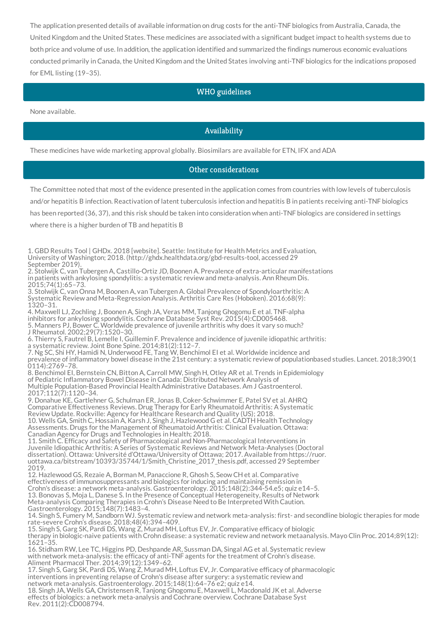The application presented details of available information on drug costs for the anti-TNF biologics from Australia, Canada, the United Kingdom and the United States. These medicines are associated with a significant budget impact to health systems due to both price and volume of use. In addition, the application identified and summarized the findings numerous economic evaluations conducted primarily in Canada, the United Kingdom and the United States involving anti-TNF biologics for the indications proposed for EML listing (19–35).

# WHO guidelines

None available.

## Availability

These medicines have wide marketing approval globally. Biosimilars are available for ETN, IFX and ADA

## Other considerations

The Committee noted that most of the evidence presented in the application comes from countries with low levels of tuberculosis

and/or hepatitis B infection. Reactivation of latent tuberculosis infection and hepatitis B in patients receiving anti-TNF biologics

has been reported (36, 37), and this risk should be taken into consideration when anti-TNF biologics are considered in settings

where there is a higher burden of TB and hepatitis B

1. GBD Results Tool | GHDx. 2018 [website]. Seattle: Institute for Health Metrics and Evaluation, University of Washington; 2018. (http://ghdx.healthdata.org/gbd-results-tool, accessed 29 September 2019). 2. Stolwijk C, van Tubergen A, Castillo-Ortiz JD, Boonen A. Prevalence of extra-articular manifestations in patients with ankylosing spondylitis: a systematic review and meta-analysis. Ann Rheum Dis. 2015;74(1):65–73. 3. Stolwijk C, van Onna M, Boonen A, van Tubergen A. Global Prevalence of Spondyloarthritis: A Systematic Review and Meta-Regression Analysis. Arthritis Care Res (Hoboken). 2016;68(9): 1320–31. 4. Maxwell LJ, Zochling J, Boonen A, Singh JA, Veras MM, Tanjong Ghogomu E et al. TNF-alpha inhibitors for ankylosing spondylitis. Cochrane Database Syst Rev. 2015(4):CD005468. 5. Manners PJ, Bower C. Worldwide prevalence of juvenile arthritis why does it vary so much? J Rheumatol. 2002;29(7):1520–30. 6. Thierry S, Fautrel B, Lemelle I, Guillemin F. Prevalence and incidence of juvenile idiopathic arthritis: a systematic review. Joint Bone Spine. 2014;81(2):112–7. 7. Ng SC, Shi HY, Hamidi N, Underwood FE, Tang W, Benchimol EI et al. Worldwide incidence and prevalence of inflammatory bowel disease in the 21st century: a systematic review of populationbased studies. Lancet. 2018;390(1 0114):2769–78. 8. Benchimol EI, Bernstein CN, Bitton A, Carroll MW, Singh H, Otley AR et al. Trends in Epidemiology of Pediatric Inflammatory Bowel Disease in Canada: Distributed Network Analysis of Multiple Population-Based Provincial Health Administrative Databases. Am J Gastroenterol. 2017;112(7):1120–34. 9. Donahue KE, Gartlehner G, Schulman ER, Jonas B, Coker-Schwimmer E, Patel SV et al. AHRQ Comparative Effectiveness Reviews. Drug Therapy for Early Rheumatoid Arthritis: A Systematic Review Update. Rockville: Agency for Healthcare Research and Quality (US); 2018. 10. Wells GA, Smith C, Hossain A, Karsh J, Singh J, Hazlewood G et al. CADTH Health Technology Assessments. Drugs for the Management of Rheumatoid Arthritis: Clinical Evaluation. Ottawa: Canadian Agency for Drugs and Technologies in Health; 2018. 11. Smith C. Efficacy and Safety of Pharmacological and Non-Pharmacological Interventions in Juvenile Idiopathic Arthritis: A Series of Systematic Reviews and Network Meta-Analyses (Doctoral dissertation). Ottawa: Université d'Ottawa/University of Ottawa; 2017. Available from https://ruor. uottawa.ca/bitstream/10393/35744/1/Smith\_Christine\_2017\_thesis.pdf, accessed 29 September 2019. 12. Hazlewood GS, Rezaie A, Borman M, Panaccione R, Ghosh S, Seow CH et al. Comparative effectiveness of immunosuppressants and biologics for inducing and maintaining remission in Crohn's disease: a network meta-analysis. Gastroenterology. 2015;148(2):344-54.e5; quiz e14–5. 13. Bonovas S, Moja L, Danese S. In the Presence of Conceptual Heterogeneity, Results of Network Meta-analysis Comparing Therapies in Crohn's Disease Need to Be Interpreted With Caution. Gastroenterology. 2015;148(7):1483–4. 14. Singh S, Fumery M, Sandborn WJ. Systematic review and network meta-analysis: first- and secondline biologic therapies for mode rate-severe Crohn's disease. 2018;48(4):394–409. 15. Singh S, Garg SK, Pardi DS, Wang Z, Murad MH, Loftus EV, Jr. Comparative efficacy of biologic therapy in biologic-naive patients with Crohn disease: a systematic review and network metaanalysis. Mayo Clin Proc. 2014;89(12): 1621–35. 16. Stidham RW, Lee TC, Higgins PD, Deshpande AR, Sussman DA, Singal AG et al. Systematic review with network meta-analysis: the efficacy of anti-TNF agents for the treatment of Crohn's disease. Aliment Pharmacol Ther. 2014;39(12):1349–62. 17. Singh S, Garg SK, Pardi DS, Wang Z, Murad MH, Loftus EV, Jr. Comparative efficacy of pharmacologic interventions in preventing relapse of Crohn's disease after surgery: a systematic review and network meta-analysis. Gastroenterology. 2015;148(1):64–76 e2; quiz e14. 18. Singh JA, Wells GA, Christensen R, Tanjong Ghogomu E, Maxwell L, Macdonald JK et al. Adverse effects of biologics: a network meta-analysis and Cochrane overview. Cochrane Database Syst Rev. 2011(2):CD008794.